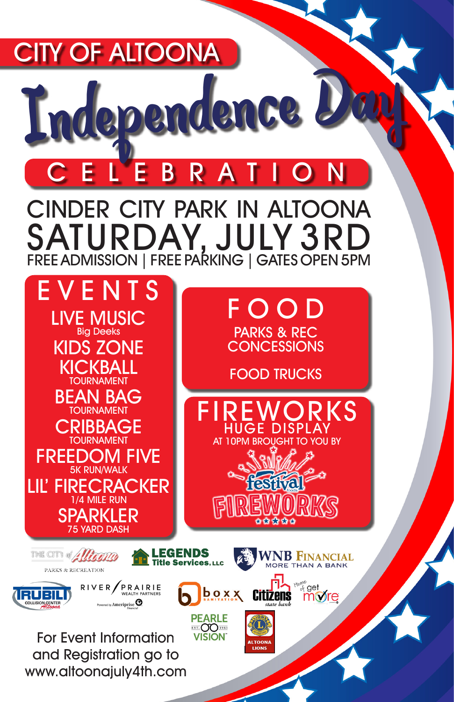